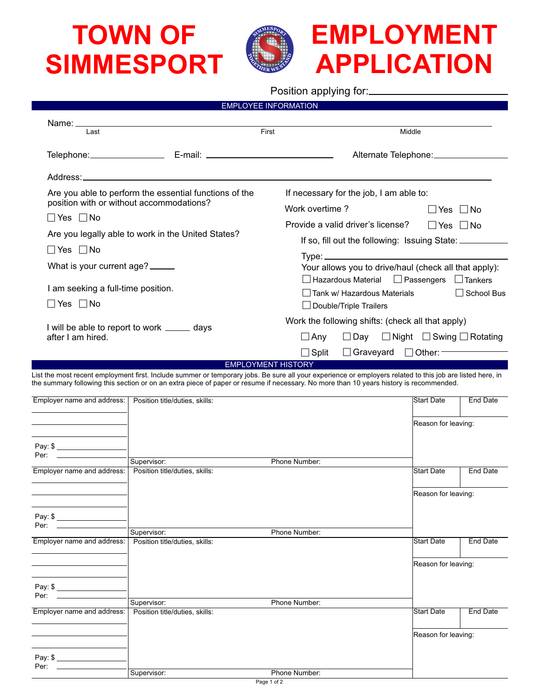## **TOWN OF SIMMESPORT**



Position applying for:

EMPLOYEE INFORMATION

| Last                                                                                                                       |                                | First                                                                                                                                                                                                                                                                                                                                                                                                                                                                                                             | Middle                           |                 |  |
|----------------------------------------------------------------------------------------------------------------------------|--------------------------------|-------------------------------------------------------------------------------------------------------------------------------------------------------------------------------------------------------------------------------------------------------------------------------------------------------------------------------------------------------------------------------------------------------------------------------------------------------------------------------------------------------------------|----------------------------------|-----------------|--|
|                                                                                                                            |                                | Alternate Telephone: ______________                                                                                                                                                                                                                                                                                                                                                                                                                                                                               |                                  |                 |  |
|                                                                                                                            |                                |                                                                                                                                                                                                                                                                                                                                                                                                                                                                                                                   |                                  |                 |  |
| Are you able to perform the essential functions of the<br>position with or without accommodations?<br>$\Box$ Yes $\Box$ No |                                | If necessary for the job, I am able to:<br>Work overtime?                                                                                                                                                                                                                                                                                                                                                                                                                                                         |                                  |                 |  |
|                                                                                                                            |                                | $\Box$ Yes $\Box$ No<br>Provide a valid driver's license?<br>$\Box$ Yes $\Box$ No                                                                                                                                                                                                                                                                                                                                                                                                                                 |                                  |                 |  |
| Are you legally able to work in the United States?                                                                         |                                | If so, fill out the following: Issuing State:                                                                                                                                                                                                                                                                                                                                                                                                                                                                     |                                  |                 |  |
| $\Box$ Yes $\Box$ No                                                                                                       |                                | $\mathsf{Type:}\n \underline{\hspace{2.5cm}}\n \underline{\hspace{2.5cm}}\n \underline{\hspace{2.5cm}}\n \underline{\hspace{2.5cm}}\n \underline{\hspace{2.5cm}}\n \underline{\hspace{2.5cm}}\n \underline{\hspace{2.5cm}}\n \underline{\hspace{2.5cm}}\n \underline{\hspace{2.5cm}}\n \underline{\hspace{2.5cm}}\n \underline{\hspace{2.5cm}}\n \underline{\hspace{2.5cm}}\n \underline{\hspace{2.5cm}}\n \underline{\hspace{2.5cm}}\n \underline{\hspace{2.5cm}}\n \underline{\hspace{2.5cm}}\n \underline{\hs$ |                                  |                 |  |
| What is your current age?                                                                                                  |                                | Your allows you to drive/haul (check all that apply):                                                                                                                                                                                                                                                                                                                                                                                                                                                             |                                  |                 |  |
| I am seeking a full-time position.                                                                                         |                                | □ Hazardous Material □ Passengers □ Tankers<br>Tank w/ Hazardous Materials<br>School Bus                                                                                                                                                                                                                                                                                                                                                                                                                          |                                  |                 |  |
| $\Box$ Yes $\Box$ No                                                                                                       |                                | $\Box$ Double/Triple Trailers                                                                                                                                                                                                                                                                                                                                                                                                                                                                                     |                                  |                 |  |
| I will be able to report to work _______ days<br>after I am hired.                                                         |                                | Work the following shifts: (check all that apply)                                                                                                                                                                                                                                                                                                                                                                                                                                                                 |                                  |                 |  |
|                                                                                                                            |                                | $\Box$ Day $\Box$ Night $\Box$ Swing $\Box$ Rotating<br>$\Box$ Any                                                                                                                                                                                                                                                                                                                                                                                                                                                |                                  |                 |  |
|                                                                                                                            |                                | $\Box$ Split<br><b>EMPLOYMENT HISTORY</b>                                                                                                                                                                                                                                                                                                                                                                                                                                                                         | $\Box$ Graveyard $\Box$ Other: — |                 |  |
|                                                                                                                            |                                |                                                                                                                                                                                                                                                                                                                                                                                                                                                                                                                   | Reason for leaving:              |                 |  |
|                                                                                                                            |                                |                                                                                                                                                                                                                                                                                                                                                                                                                                                                                                                   |                                  |                 |  |
|                                                                                                                            |                                |                                                                                                                                                                                                                                                                                                                                                                                                                                                                                                                   |                                  |                 |  |
| Per:                                                                                                                       | Supervisor:                    | Phone Number:                                                                                                                                                                                                                                                                                                                                                                                                                                                                                                     |                                  |                 |  |
| Employer name and address:                                                                                                 | Position title/duties, skills: |                                                                                                                                                                                                                                                                                                                                                                                                                                                                                                                   | <b>Start Date</b>                | End Date        |  |
|                                                                                                                            |                                | Reason for leaving:                                                                                                                                                                                                                                                                                                                                                                                                                                                                                               |                                  |                 |  |
| Pay: \$                                                                                                                    |                                |                                                                                                                                                                                                                                                                                                                                                                                                                                                                                                                   |                                  |                 |  |
| Per:<br>the property of the control of the                                                                                 | Supervisor:                    | Phone Number:                                                                                                                                                                                                                                                                                                                                                                                                                                                                                                     |                                  |                 |  |
| Employer name and address:                                                                                                 | Position title/duties, skills: |                                                                                                                                                                                                                                                                                                                                                                                                                                                                                                                   | <b>Start Date</b>                | <b>End Date</b> |  |
|                                                                                                                            |                                |                                                                                                                                                                                                                                                                                                                                                                                                                                                                                                                   | Reason for leaving:              |                 |  |
| Pay: \$                                                                                                                    |                                |                                                                                                                                                                                                                                                                                                                                                                                                                                                                                                                   |                                  |                 |  |
| Per:                                                                                                                       | Supervisor:                    | Phone Number:                                                                                                                                                                                                                                                                                                                                                                                                                                                                                                     |                                  |                 |  |
| Employer name and address:                                                                                                 | Position title/duties, skills: |                                                                                                                                                                                                                                                                                                                                                                                                                                                                                                                   | <b>Start Date</b>                | End Date        |  |
|                                                                                                                            |                                |                                                                                                                                                                                                                                                                                                                                                                                                                                                                                                                   | Reason for leaving:              |                 |  |
|                                                                                                                            |                                |                                                                                                                                                                                                                                                                                                                                                                                                                                                                                                                   |                                  |                 |  |
| Pay: \$<br>Per:                                                                                                            |                                |                                                                                                                                                                                                                                                                                                                                                                                                                                                                                                                   |                                  |                 |  |
|                                                                                                                            | Supervisor:                    | Phone Number:                                                                                                                                                                                                                                                                                                                                                                                                                                                                                                     |                                  |                 |  |